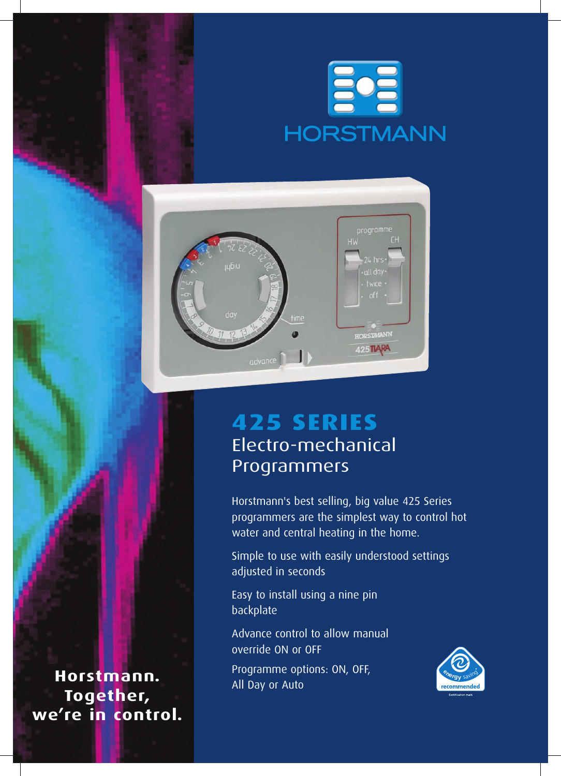



# **425 series** Electro-mechanical Programmers

Horstmann's best selling, big value 425 Series programmers are the simplest way to control hot water and central heating in the home.

Simple to use with easily understood settings adjusted in seconds

Easy to install using a nine pin backplate

Advance control to allow manual override ON or OFF

Programme options: ON, OFF, All Day or Auto



**Horstmann. Together, we're in control.**